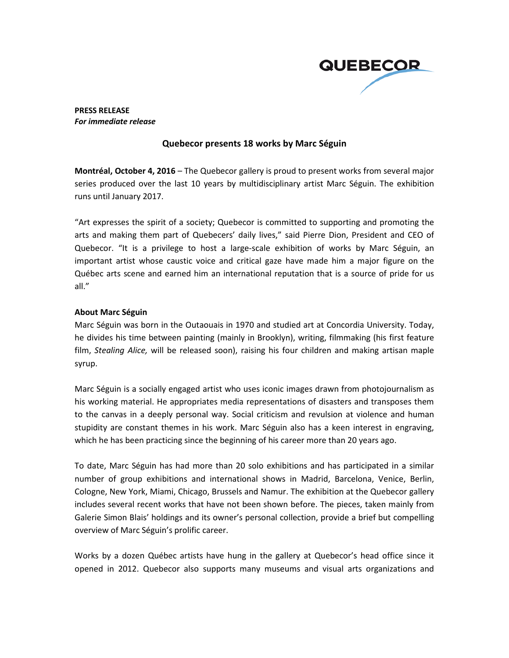

**PRESS RELEASE** *For immediate release*

## **Quebecor presents 18 works by Marc Séguin**

**Montréal, October 4, 2016** – The Quebecor gallery is proud to present works from several major series produced over the last 10 years by multidisciplinary artist Marc Séguin. The exhibition runs until January 2017.

"Art expresses the spirit of a society; Quebecor is committed to supporting and promoting the arts and making them part of Quebecers' daily lives," said Pierre Dion, President and CEO of Quebecor. "It is a privilege to host a large-scale exhibition of works by Marc Séguin, an important artist whose caustic voice and critical gaze have made him a major figure on the Québec arts scene and earned him an international reputation that is a source of pride for us all."

## **About Marc Séguin**

Marc Séguin was born in the Outaouais in 1970 and studied art at Concordia University. Today, he divides his time between painting (mainly in Brooklyn), writing, filmmaking (his first feature film, *Stealing Alice,* will be released soon), raising his four children and making artisan maple syrup.

Marc Séguin is a socially engaged artist who uses iconic images drawn from photojournalism as his working material. He appropriates media representations of disasters and transposes them to the canvas in a deeply personal way. Social criticism and revulsion at violence and human stupidity are constant themes in his work. Marc Séguin also has a keen interest in engraving, which he has been practicing since the beginning of his career more than 20 years ago.

To date, Marc Séguin has had more than 20 solo exhibitions and has participated in a similar number of group exhibitions and international shows in Madrid, Barcelona, Venice, Berlin, Cologne, New York, Miami, Chicago, Brussels and Namur. The exhibition at the Quebecor gallery includes several recent works that have not been shown before. The pieces, taken mainly from Galerie Simon Blais' holdings and its owner's personal collection, provide a brief but compelling overview of Marc Séguin's prolific career.

Works by a dozen Québec artists have hung in the gallery at Quebecor's head office since it opened in 2012. Quebecor also supports many museums and visual arts organizations and